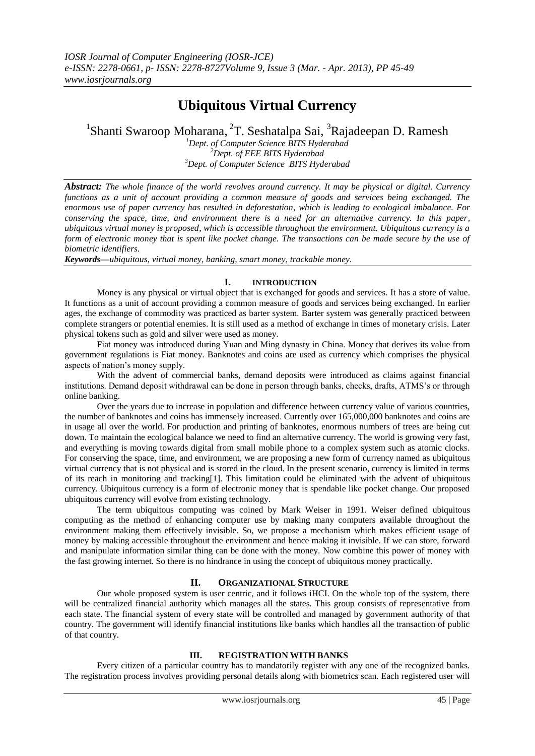# **Ubiquitous Virtual Currency**

<sup>1</sup>Shanti Swaroop Moharana, <sup>2</sup>T. Seshatalpa Sai, <sup>3</sup>Rajadeepan D. Ramesh

*<sup>1</sup>Dept. of Computer Science BITS Hyderabad <sup>2</sup>Dept. of EEE BITS Hyderabad <sup>3</sup>Dept. of Computer Science BITS Hyderabad*

*Abstract: The whole finance of the world revolves around currency. It may be physical or digital. Currency functions as a unit of account providing a common measure of goods and services being exchanged. The enormous use of paper currency has resulted in deforestation, which is leading to ecological imbalance. For conserving the space, time, and environment there is a need for an alternative currency. In this paper, ubiquitous virtual money is proposed, which is accessible throughout the environment. Ubiquitous currency is a form of electronic money that is spent like pocket change. The transactions can be made secure by the use of biometric identifiers.*

*Keywords—ubiquitous, virtual money, banking, smart money, trackable money.*

## **I. INTRODUCTION**

Money is any physical or virtual object that is exchanged for goods and services. It has a store of value. It functions as a unit of account providing a common measure of goods and services being exchanged. In earlier ages, the exchange of commodity was practiced as barter system. Barter system was generally practiced between complete strangers or potential enemies. It is still used as a method of exchange in times of monetary crisis. Later physical tokens such as gold and silver were used as money.

Fiat money was introduced during Yuan and Ming dynasty in China. Money that derives its value from government regulations is Fiat money. Banknotes and coins are used as currency which comprises the physical aspects of nation's money supply.

With the advent of commercial banks, demand deposits were introduced as claims against financial institutions. Demand deposit withdrawal can be done in person through banks, checks, drafts, ATMS's or through online banking.

Over the years due to increase in population and difference between currency value of various countries, the number of banknotes and coins has immensely increased. Currently over 165,000,000 banknotes and coins are in usage all over the world. For production and printing of banknotes, enormous numbers of trees are being cut down. To maintain the ecological balance we need to find an alternative currency. The world is growing very fast, and everything is moving towards digital from small mobile phone to a complex system such as atomic clocks. For conserving the space, time, and environment, we are proposing a new form of currency named as ubiquitous virtual currency that is not physical and is stored in the cloud. In the present scenario, currency is limited in terms of its reach in monitoring and tracking[1]. This limitation could be eliminated with the advent of ubiquitous currency. Ubiquitous currency is a form of electronic money that is spendable like pocket change. Our proposed ubiquitous currency will evolve from existing technology.

The term ubiquitous computing was coined by Mark Weiser in 1991. Weiser defined ubiquitous computing as the method of enhancing computer use by making many computers available throughout the environment making them effectively invisible. So, we propose a mechanism which makes efficient usage of money by making accessible throughout the environment and hence making it invisible. If we can store, forward and manipulate information similar thing can be done with the money. Now combine this power of money with the fast growing internet. So there is no hindrance in using the concept of ubiquitous money practically.

# **II. ORGANIZATIONAL STRUCTURE**

Our whole proposed system is user centric, and it follows iHCI. On the whole top of the system, there will be centralized financial authority which manages all the states. This group consists of representative from each state. The financial system of every state will be controlled and managed by government authority of that country. The government will identify financial institutions like banks which handles all the transaction of public of that country.

### **III. REGISTRATION WITH BANKS**

Every citizen of a particular country has to mandatorily register with any one of the recognized banks. The registration process involves providing personal details along with biometrics scan. Each registered user will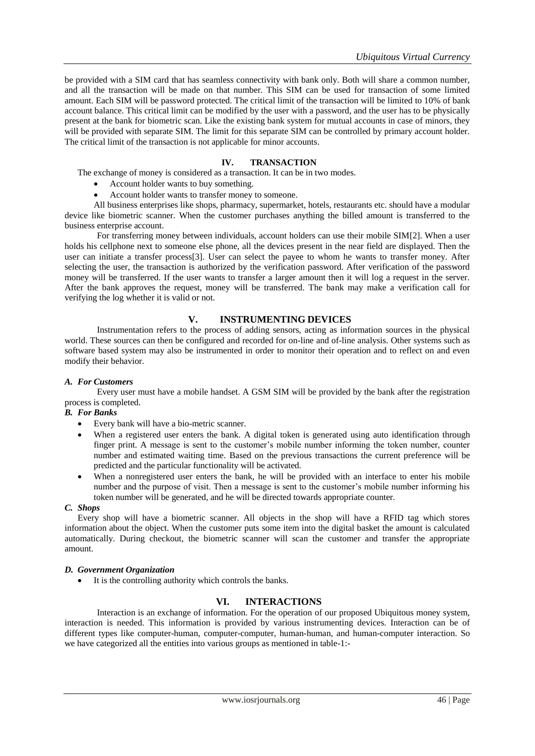be provided with a SIM card that has seamless connectivity with bank only. Both will share a common number, and all the transaction will be made on that number. This SIM can be used for transaction of some limited amount. Each SIM will be password protected. The critical limit of the transaction will be limited to 10% of bank account balance. This critical limit can be modified by the user with a password, and the user has to be physically present at the bank for biometric scan. Like the existing bank system for mutual accounts in case of minors, they will be provided with separate SIM. The limit for this separate SIM can be controlled by primary account holder. The critical limit of the transaction is not applicable for minor accounts.

## **IV. TRANSACTION**

The exchange of money is considered as a transaction. It can be in two modes.

- Account holder wants to buy something.
- Account holder wants to transfer money to someone.

All business enterprises like shops, pharmacy, supermarket, hotels, restaurants etc. should have a modular device like biometric scanner. When the customer purchases anything the billed amount is transferred to the business enterprise account.

For transferring money between individuals, account holders can use their mobile SIM[2]. When a user holds his cellphone next to someone else phone, all the devices present in the near field are displayed. Then the user can initiate a transfer process[3]. User can select the payee to whom he wants to transfer money. After selecting the user, the transaction is authorized by the verification password. After verification of the password money will be transferred. If the user wants to transfer a larger amount then it will log a request in the server. After the bank approves the request, money will be transferred. The bank may make a verification call for verifying the log whether it is valid or not.

# **V. INSTRUMENTING DEVICES**

Instrumentation refers to the process of adding sensors, acting as information sources in the physical world. These sources can then be configured and recorded for on-line and of-line analysis. Other systems such as software based system may also be instrumented in order to monitor their operation and to reflect on and even modify their behavior.

#### *A. For Customers*

Every user must have a mobile handset. A GSM SIM will be provided by the bank after the registration process is completed.

#### *B. For Banks*

- Every bank will have a bio-metric scanner.
- When a registered user enters the bank. A digital token is generated using auto identification through finger print. A message is sent to the customer's mobile number informing the token number, counter number and estimated waiting time. Based on the previous transactions the current preference will be predicted and the particular functionality will be activated.
- When a nonregistered user enters the bank, he will be provided with an interface to enter his mobile number and the purpose of visit. Then a message is sent to the customer's mobile number informing his token number will be generated, and he will be directed towards appropriate counter.

#### *C. Shops*

Every shop will have a biometric scanner. All objects in the shop will have a RFID tag which stores information about the object. When the customer puts some item into the digital basket the amount is calculated automatically. During checkout, the biometric scanner will scan the customer and transfer the appropriate amount.

## *D. Government Organization*

It is the controlling authority which controls the banks.

# **VI. INTERACTIONS**

Interaction is an exchange of information. For the operation of our proposed Ubiquitous money system, interaction is needed. This information is provided by various instrumenting devices. Interaction can be of different types like computer-human, computer-computer, human-human, and human-computer interaction. So we have categorized all the entities into various groups as mentioned in table-1:-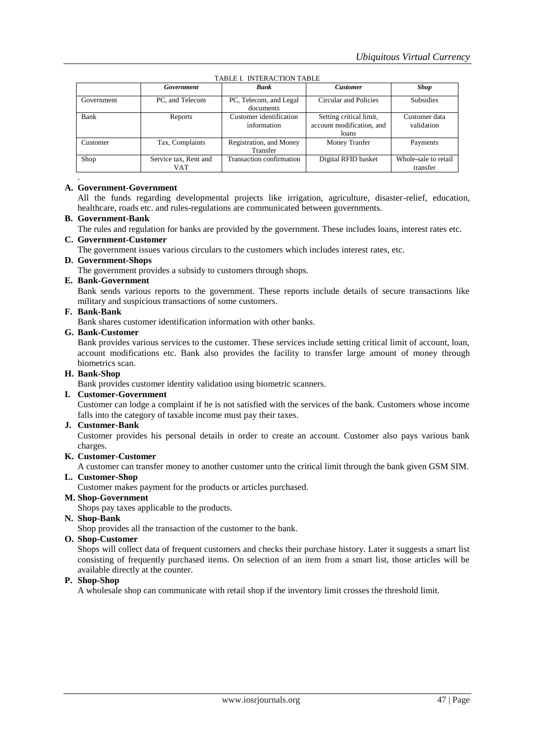|            | Government                   | <b>Bank</b>                            | <b>Customer</b>                                               | <b>Shop</b>                      |
|------------|------------------------------|----------------------------------------|---------------------------------------------------------------|----------------------------------|
| Government | PC, and Telecom              | PC, Telecom, and Legal<br>documents    | Circular and Policies                                         | <b>Subsidies</b>                 |
| Bank       | Reports                      | Customer identification<br>information | Setting critical limit,<br>account modification, and<br>loans | Customer data<br>validation      |
| Customer   | Tax, Complaints              | Registration, and Money<br>Transfer    | Money Tranfer                                                 | Payments                         |
| Shop       | Service tax, Rent and<br>VAT | Transaction confirmation               | Digital RFID basket                                           | Whole-sale to retail<br>transfer |

TABLE I. INTERACTION TABLE

# **A. Government-Government**

All the funds regarding developmental projects like irrigation, agriculture, disaster-relief, education, healthcare, roads etc. and rules-regulations are communicated between governments.

# **B. Government-Bank**

The rules and regulation for banks are provided by the government. These includes loans, interest rates etc.

## **C. Government-Customer**

The government issues various circulars to the customers which includes interest rates, etc.

## **D. Government-Shops**

The government provides a subsidy to customers through shops.

## **E. Bank-Government**

Bank sends various reports to the government. These reports include details of secure transactions like military and suspicious transactions of some customers.

## **F. Bank-Bank**

Bank shares customer identification information with other banks.

#### **G. Bank-Customer**

Bank provides various services to the customer. These services include setting critical limit of account, loan, account modifications etc. Bank also provides the facility to transfer large amount of money through biometrics scan.

## **H. Bank-Shop**

Bank provides customer identity validation using biometric scanners.

#### **I. Customer-Government**

Customer can lodge a complaint if he is not satisfied with the services of the bank. Customers whose income falls into the category of taxable income must pay their taxes.

#### **J. Customer-Bank**

Customer provides his personal details in order to create an account. Customer also pays various bank charges.

#### **K. Customer-Customer**

A customer can transfer money to another customer unto the critical limit through the bank given GSM SIM.

# **L. Customer-Shop**

Customer makes payment for the products or articles purchased.

# **M. Shop-Government**

Shops pay taxes applicable to the products.

# **N. Shop-Bank**

Shop provides all the transaction of the customer to the bank.

# **O. Shop-Customer**

Shops will collect data of frequent customers and checks their purchase history. Later it suggests a smart list consisting of frequently purchased items. On selection of an item from a smart list, those articles will be available directly at the counter.

#### **P. Shop-Shop**

A wholesale shop can communicate with retail shop if the inventory limit crosses the threshold limit.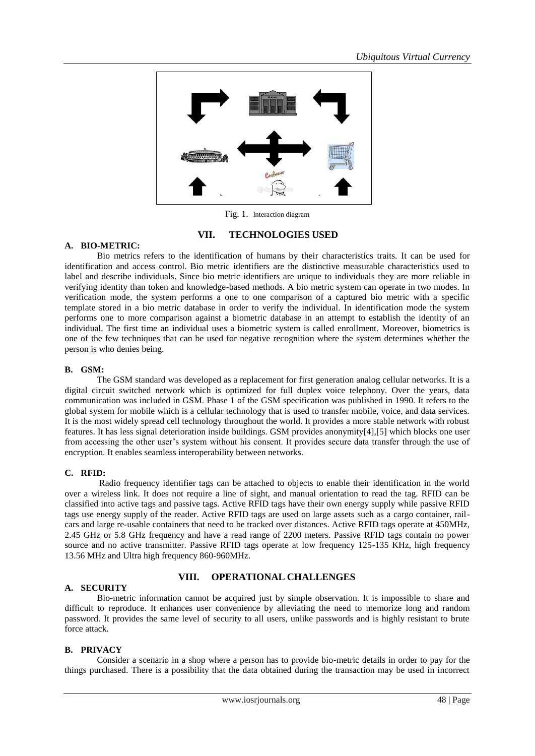

Fig. 1. Interaction diagram

# **VII. TECHNOLOGIES USED**

#### **A. BIO-METRIC:**

Bio metrics refers to the identification of humans by their characteristics traits. It can be used for identification and access control. Bio metric identifiers are the distinctive measurable characteristics used to label and describe individuals. Since bio metric identifiers are unique to individuals they are more reliable in verifying identity than token and knowledge-based methods. A bio metric system can operate in two modes. In verification mode, the system performs a one to one comparison of a captured bio metric with a specific template stored in a bio metric database in order to verify the individual. In identification mode the system performs one to more comparison against a biometric database in an attempt to establish the identity of an individual. The first time an individual uses a biometric system is called enrollment. Moreover, biometrics is one of the few techniques that can be used for negative recognition where the system determines whether the person is who denies being.

## **B. GSM:**

The GSM standard was developed as a replacement for first generation analog cellular networks. It is a digital circuit switched network which is optimized for full duplex voice telephony. Over the years, data communication was included in GSM. Phase 1 of the GSM specification was published in 1990. It refers to the global system for mobile which is a cellular technology that is used to transfer mobile, voice, and data services. It is the most widely spread cell technology throughout the world. It provides a more stable network with robust features. It has less signal deterioration inside buildings. GSM provides anonymity[4],[5] which blocks one user from accessing the other user's system without his consent. It provides secure data transfer through the use of encryption. It enables seamless interoperability between networks.

# **C. RFID:**

Radio frequency identifier tags can be attached to objects to enable their identification in the world over a wireless link. It does not require a line of sight, and manual orientation to read the tag. RFID can be classified into active tags and passive tags. Active RFID tags have their own energy supply while passive RFID tags use energy supply of the reader. Active RFID tags are used on large assets such as a cargo container, railcars and large re-usable containers that need to be tracked over distances. Active RFID tags operate at 450MHz, 2.45 GHz or 5.8 GHz frequency and have a read range of 2200 meters. Passive RFID tags contain no power source and no active transmitter. Passive RFID tags operate at low frequency 125-135 KHz, high frequency 13.56 MHz and Ultra high frequency 860-960MHz.

#### **A. SECURITY**

# **VIII. OPERATIONAL CHALLENGES**

Bio-metric information cannot be acquired just by simple observation. It is impossible to share and difficult to reproduce. It enhances user convenience by alleviating the need to memorize long and random password. It provides the same level of security to all users, unlike passwords and is highly resistant to brute force attack.

#### **B. PRIVACY**

Consider a scenario in a shop where a person has to provide bio-metric details in order to pay for the things purchased. There is a possibility that the data obtained during the transaction may be used in incorrect